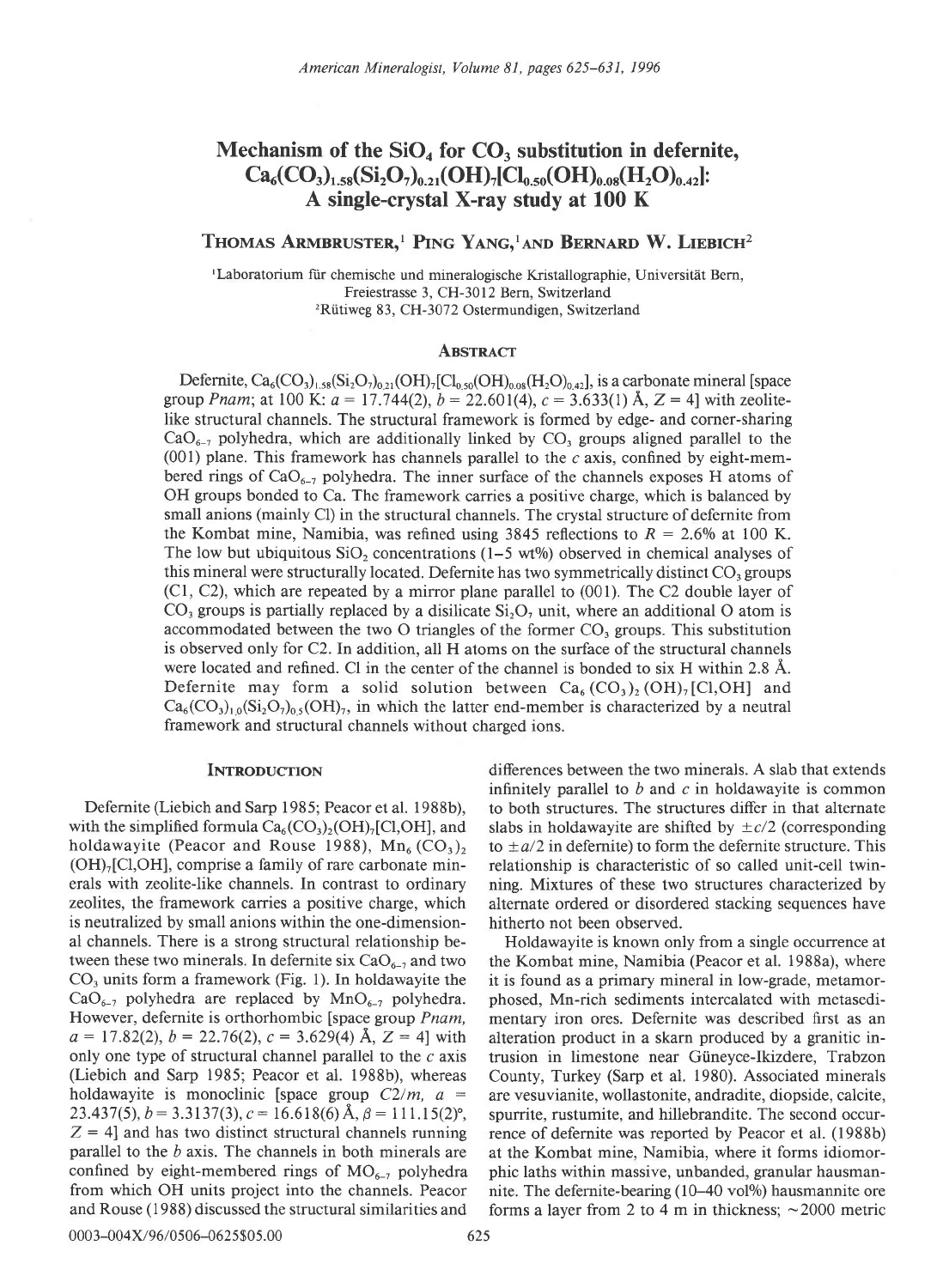# Mechanism of the  $SiO<sub>4</sub>$  for  $CO<sub>3</sub>$  substitution in defernite,  $Ca_6(CO_3)_{1.58}(Si_2O_7)_{0.21}(OH)_7[Cl_{0.50}(OH)_{0.08}(H_2O)_{0.42}]:$ A single-crystal X-ray study at 100 K

## Thomas Armbruster,<sup>1</sup> Ping Yang,<sup>1</sup>and Bernard W. Liebich<sup>2</sup>

<sup>1</sup>Laboratorium für chemische und mineralogische Kristallographie, Universität Bern, Freiestrasse 3, CH-3012 Bern, Switzerland <sup>2</sup>Rütiweg 83, CH-3072 Ostermundigen, Switzerland

#### ABSTRACT

Defernite,  $Ca_6(CO_3)_{1.58}(Si_2O_7)_{0.21}(OH)_7[Cl_{0.50}(OH)_{0.08}(H_2O)_{0.42}]$ , is a carbonate mineral [space group *Pnam*; at 100 K:  $a = 17.744(2)$ ,  $b = 22.601(4)$ ,  $c = 3.633(1)$  Å,  $Z = 4$ ] with zeolitelike structural channels. The structural framework is formed by edge- and corner-sharing  $CaO<sub>6-7</sub>$  polyhedra, which are additionally linked by  $CO<sub>3</sub>$  groups aligned parallel to the  $(001)$  plane. This framework has channels parallel to the c axis, confined by eight-membered rings of  $CaO<sub>6-7</sub>$  polyhedra. The inner surface of the channels exposes H atoms of OH groups bonded to Ca. The framework carries a positive charge, which is balanced by small anions (mainly Cl) in the structural channels. The crystal structure of defernite from the Kombat mine, Namibia, was refined using 3845 reflections to  $R = 2.6\%$  at 100 K. The low but ubiquitous  $SiO<sub>2</sub>$  concentrations (1–5 wt%) observed in chemical analyses of this mineral were structurally located. Defernite has two symmetrically distinct  $CO<sub>3</sub>$  groups (Cl, C2), which are repeated by a mirror plane parallel to (001). The C2 double layer of  $CO<sub>3</sub>$  groups is partially replaced by a disilicate  $Si<sub>2</sub>O<sub>7</sub>$  unit, where an additional O atom is accommodated between the two O triangles of the former  $CO<sub>3</sub>$  groups. This substitution is observed only for C2. In addition, all H atoms on the surface of the structural channels were located and refined. Cl in the center of the channel is bonded to six H within 2.8 A. Defernite may form a solid solution between  $Ca_6(CO_3)_2(OH)_7[CI,OH]$  and  $Ca_6(CO_3)_{1,0}(Si_2O_7)_{0,5}(OH)_7$ , in which the latter end-member is characterized by a neutral framework and structural channels without charged ions.

### **INTRODUCTION**

Defernite (Liebich and Sarp 1985; Peacor et al. 1988b), with the simplified formula  $Ca_6(CO_3)_2(OH)_7[Cl,OH]$ , and holdawayite (Peacor and Rouse 1988),  $Mn_6(CO_3)$ ,  $(OH)<sub>7</sub>[Cl,OH]$ , comprise a family of rare carbonate minerals with zeolite-like channels. In contrast to ordinary zeolites, the framework carries a positive charge, which is neutralized by small anions within the one-dimensional channels. There is a strong structural relationship between these two minerals. In defernite six  $CaO<sub>6-7</sub>$  and two  $CO<sub>3</sub>$  units form a framework (Fig. 1). In holdawayite the  $CaO_{6-7}$  polyhedra are replaced by MnO<sub>6-7</sub> polyhedra. However, defernite is orthorhombic [space group Pnam,  $a = 17.82(2), b = 22.76(2), c = 3.629(4)$  Å, Z = 4] with only one type of structural channel parallel to the  $c$  axis (Liebich and Sarp 1985; Peacor et al. 1988b), whereas holdawayite is monoclinic [space group  $C2/m$ ,  $a =$ 23.437(5),  $b = 3.3137(3)$ ,  $c = 16.618(6)$  Å,  $\beta = 111.15(2)$ °,  $Z = 4$  and has two distinct structural channels running parallel to the  $b$  axis. The channels in both minerals are confined by eight-membered rings of  $MO_{6-7}$  polyhedra from which OH units project into the channels. Peacor and Rouse (1988) discussed the structural similarities and

differences between the two minerals. A slab that extends infinitely parallel to  $b$  and  $c$  in holdawayite is common to both structures. The structures differ in that alternate slabs in holdawayite are shifted by  $\pm c/2$  (corresponding to  $\pm a/2$  in defernite) to form the defernite structure. This relationship is characteristic of so called unit-cell twinning. Mixtures of these two structures characterized by alternate ordered or disordered stacking sequences have hitherto not been observed.

Holdawayite is known only from a single occurrence at the Kombat mine, Namibia (Peacor et al. 1988a), where it is found as a primary mineral in low-grade, metamorphosed, Mn-rich sediments intercalated with metasedimentary iron ores. Defernite was described first as an alteration product in a skarn produced by a granitic intrusion in limestone near Giineyce-Ikizdere, Trabzon County, Turkey (Sarp et al. 1980). Associated minerals are vesuvianite, wollastonite, andradite, diopside, calcite, spurrite, rustumite, and hillebrandite. The second occurrence of defernite was reported by Peacor et al. (1988b) at the Kombat mine, Namibia, where it forms idiomorphic laths within massive, unbanded, granular hausmannite. The defernite-bearing (10-40 vol<sup>%</sup>) hausmannite ore forms a layer from 2 to 4 m in thickness;  $\sim$  2000 metric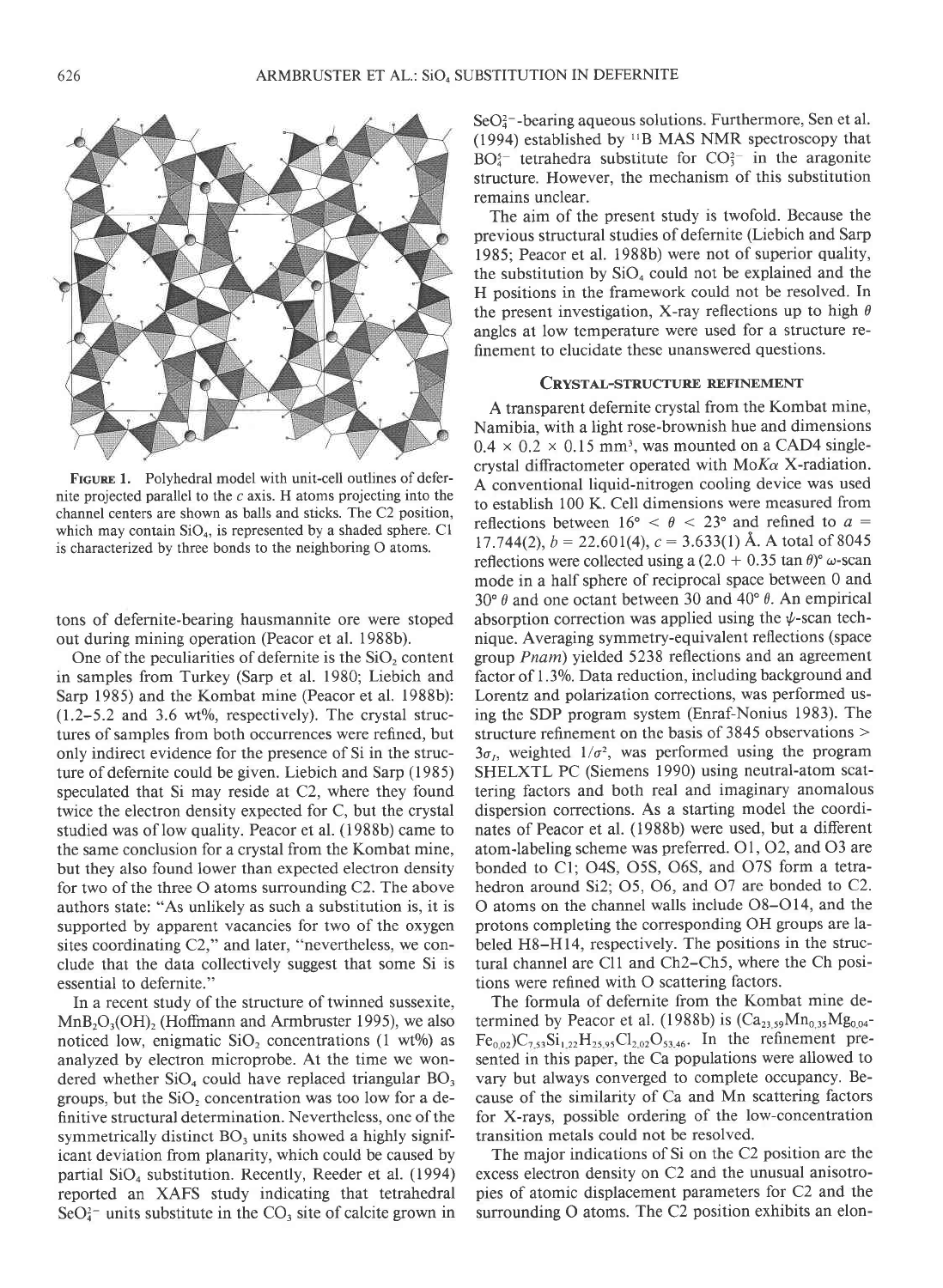

FIGURE 1. Polyhedral model with unit-cell outlines of defernite projected parallel to the  $c$  axis. H atoms projecting into the channel centers are shown as balls and sticks. The C2 position, which may contain  $SiO<sub>4</sub>$ , is represented by a shaded sphere. C1 is characterized by three bonds to the neighboring O atoms.

tons of defernite-bearing hausmannite ore were stoped out during mining operation (Peacor et al. 1988b).

One of the peculiarities of defernite is the  $SiO<sub>2</sub>$  content in samples from Turkey (Sarp et al. 1980; Liebich and Sarp 1985) and the Kombat mine (Peacor et al. 1988b):  $(1.2-5.2$  and 3.6 wt%, respectively). The crystal structures of samples from both occurrences were refined, but only indirect evidence for the presence of Si in the structure of defernite could be given. Liebich and Sarp (1985) speculated that Si may reside at C2, where they found twice the electron density expected for C, but the crystal studied was of low quality. Peacor et al. (1988b) came to the same conclusion for a crystal from the Kombat mine, but they also found lower than expected electron density for two of the three O atoms surrounding C2. The above authors state: "As unlikely as such a substitution is, it is supported by apparent vacancies for two of the oxygen sites coordinating C2," and later, "nevertheless, we conclude that the data collectively suggest that some Si is essential to defernite."

In a recent study of the structure of twinned sussexite,  $MnB<sub>2</sub>O<sub>3</sub>(OH)<sub>2</sub>$  (Hoffmann and Armbruster 1995), we also noticed low, enigmatic  $SiO<sub>2</sub>$  concentrations (1 wt%) as analyzed by electron microprobe. At the time we wondered whether  $SiO<sub>4</sub>$  could have replaced triangular  $BO<sub>3</sub>$ groups, but the  $SiO<sub>2</sub>$  concentration was too low for a definitive structural determination. Nevertheless, one of the symmetrically distinct BO, units showed a highly significant deviation from planarity, which could be caused by partial  $SiO<sub>4</sub>$  substitution. Recently, Reeder et al. (1994) reported an XAFS study indicating that tetrahedral  $\text{SeO}_4^{2-}$  units substitute in the CO<sub>3</sub> site of calcite grown in  $SeO<sub>4</sub><sup>2</sup>$ -bearing aqueous solutions. Furthermore, Sen et al. (1994) established by "B MAS NMR spectroscopy that  $BO<sub>4</sub><sup>5</sup>$  tetrahedra substitute for  $CO<sub>3</sub><sup>2</sup>$  in the aragonite structure. However, the mechanism of this substitution remains unclear.

The aim of the present study is twofold. Because the previous structural studies of defernite (Liebich and Sarp 1985; Peacor et al. 1988b) were not of superior quality, the substitution by  $SiO<sub>4</sub>$  could not be explained and the H positions in the framework could not be resolved. In the present investigation, X-ray reflections up to high  $\theta$ angles at low temperature were used for a structure refinement to elucidate these unanswered questions.

#### CRYSTAL-STRUCTURE REFINEMENT

A transparent defernite crystal from the Kombat mine, Namibia, with a light rose-brownish hue and dimensions  $0.4 \times 0.2 \times 0.15$  mm<sup>3</sup>, was mounted on a CAD4 singlecrystal diffractometer operated with  $M \circ K \alpha$  X-radiation. A conventional liquid-nitrogen cooling device was used to establish 100 K. Cell dimensions were measured from reflections between  $16^{\circ} < \theta < 23^{\circ}$  and refined to  $a =$ 17.744(2),  $b = 22.601(4)$ ,  $c = 3.633(1)$  Å. A total of 8045 reflections were collected using a  $(2.0 + 0.35 \tan \theta)$ <sup>o</sup>  $\omega$ -scan mode in a half sphere of reciprocal space between 0 and 30 $\degree$   $\theta$  and one octant between 30 and 40 $\degree$   $\theta$ . An empirical absorption correction was applied using the  $\psi$ -scan technique. Averaging symmetry-equivalent reflections (space group Pnam) yielded 5238 reflections and an agreement factor of 1.3%. Data reduction, including background and Lorentz and polarization corrections, was performed using the SDP program system (Enraf-Nonius 1983). The structure refinement on the basis of  $3845$  observations  $>$  $3\sigma_1$ , weighted  $1/\sigma^2$ , was performed using the program SHELXTL PC (Siemens 1990) using neutral-atom scattering factors and both real and imaginary anomalous dispersion corrections. As a starting model the coordinates of Peacor et al. (1988b) were used, but a different atom-labeling scheme was preferred.  $O1$ ,  $O2$ , and  $O3$  are bonded to Cl: O4S. O5S, 065, and O7S form a tetrahedron around Si2; 05, 06, and O7 arc bonded to C2. O atoms on the channel walls include O8-O14, and the protons completing the corresponding OH groups are labeled H8-H14, respectively. The positions in the structural channel are Cll and Ch2-Ch5, where the Ch positions were refined with O scattering factors.

The formula of defernite from the Kombat mine determined by Peacor et al. (1988b) is  $(Ca_{23.59}Mn_{0.35}Mg_{0.04}$ - $Fe_{0.02}$ )C<sub>7.53</sub>Si<sub>1.22</sub>H<sub>25.95</sub>Cl<sub>2.02</sub>O<sub>53.46</sub>. In the refinement presented in this paper, the Ca populations were allowed to vary but always converged to complete occupancy. Because of the similarity of Ca and Mn scattering factors for X-rays, possible ordering of the low-concentration transition metals could not be resolved.

The major indications of Si on the C2 position are the excess electron density on C2 and the unusual anisotropies of atomic displacement parameters for C2 and the surrounding O atoms. The C2 position exhibits an elon-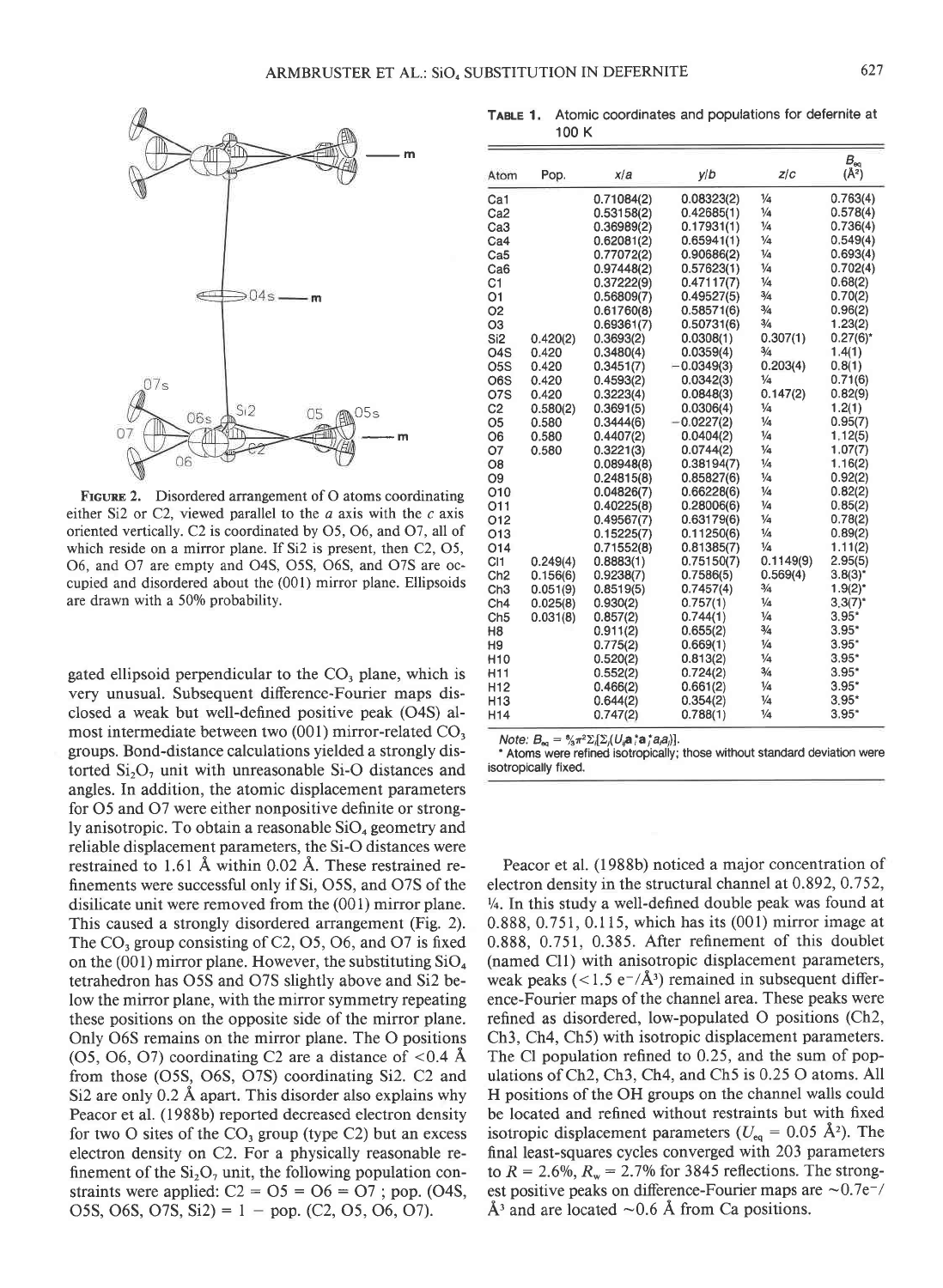

FIGURE 2. Disordered arrangement of O atoms coordinating either Si2 or C2, viewed parallel to the  $a$  axis with the  $c$  axis oriented vertically. C2 is coordinated by 05, 06, and 07, all of which reside on a mirror plane. If Si2 is present, then C2, O5, 06, and 07 are empty and O4S, O5S, 065, and O7S are occupied and disordered about the (001) mirror plane. Ellipsoids are drawn with a 50% probability.

gated ellipsoid perpendicular to the CO, plane, which is very unusual. Subsequent difference-Fourier maps disclosed a weak but well-defined positive peak (O4S) almost intermediate between two (001) mirror-related CO, groups. Bond-distance calculations yielded a strongly distorted  $Si<sub>2</sub>O<sub>z</sub>$  unit with unreasonable Si-O distances and angles. In addition, the atomic displacement parameters for 05 and 07 were either nonpositive definite or strongly anisotropic. To obtain a reasonable  $SiO<sub>4</sub>$  geometry and reliable displacement parameters, the Si-O distances were restrained to l.6l A within 0.02 A. These restrained refinements were successful only if Si, O5S, and O7S of the disilicate unit were removed from the (001) mirror plane. This caused a strongly disordered arrangement (Fig. 2). The CO, group consisting of C2, 05, 06, and 07 is fixed on the (001) mirror plane. However, the substituting  $SiO<sub>4</sub>$ tetrahedron has O5S and O7S slightly above and Si2 below the mirror plane, with the mirror symmetry repeating these positions on the opposite side of the mirror plane. Only 065 remains on the mirror plane. The O positions (O5, O6, O7) coordinating C2 are a distance of  $< 0.4$  Å from those (O5S, 065, O7S) coordinating Si2. C2 and Si2 are only 0.2 A apart. This disorder also explains why Peacor et al. (1988b) reported decreased electron density for two O sites of the  $CO<sub>3</sub>$  group (type C2) but an excess electron density on C2. For a physically reasonable refinement of the  $Si<sub>2</sub>O<sub>7</sub>$  unit, the following population constraints were applied:  $C2 = 05 = 06 = 07$ ; pop. (O4S, O5S, O6S, O7S, Si2) =  $1 -$  pop. (C2, O5, O6, O7).

TABLE 1, Atomic coordinates and populations for defernite at 100 K

| Atom             | Pop.     | x/a        | V/D          | Z/C           | $B_{\rm eq}$<br>$(\AA^2)$ |
|------------------|----------|------------|--------------|---------------|---------------------------|
| Ca1              |          | 0.71084(2) | 0.08323(2)   | $\frac{1}{4}$ | 0.763(4)                  |
| Ca <sub>2</sub>  |          | 0.53158(2) | 0.42685(1)   | $\frac{1}{4}$ | 0.578(4)                  |
| Ca3              |          | 0.36989(2) | 0.17931(1)   | $\frac{1}{4}$ | 0.736(4)                  |
| Ca <sub>4</sub>  |          | 0.62081(2) | 0.65941(1)   | $\frac{1}{4}$ | 0.549(4)                  |
| Ca5              |          | 0.77072(2) | 0.90686(2)   | $\frac{1}{4}$ | 0.693(4)                  |
| Ca6              |          | 0.97448(2) | 0.57623(1)   | $\frac{1}{4}$ | 0.702(4)                  |
| C1               |          | 0.37222(9) | 0.47117(7)   | $\frac{1}{4}$ | 0.68(2)                   |
| 01               |          | 0.56809(7) | 0.49527(5)   | 3/4           | 0.70(2)                   |
| O <sub>2</sub>   |          | 0.61760(8) | 0.58571(6)   | $\frac{3}{4}$ | 0.96(2)                   |
| O <sub>3</sub>   |          | 0.69361(7) | 0.50731(6)   | 3/4           | 1.23(2)                   |
| Si <sub>2</sub>  | 0.420(2) | 0.3693(2)  | 0.0308(1)    | 0.307(1)      | $0.27(6)^*$               |
| O <sub>4</sub> S | 0.420    | 0.3480(4)  | 0.0359(4)    | 3/4           | 1.4(1)                    |
| O <sub>5</sub> S | 0.420    | 0.3451(7)  | $-0.0349(3)$ | 0.203(4)      | 0.8(1)                    |
| O6S              | 0.420    | 0.4593(2)  | 0.0342(3)    | $\frac{1}{4}$ | 0.71(6)                   |
| O7S              | 0.420    | 0.3223(4)  | 0.0848(3)    | 0.147(2)      | 0.82(9)                   |
| C <sub>2</sub>   | 0.580(2) | 0.3691(5)  | 0.0306(4)    | $\frac{1}{4}$ | 1.2(1)                    |
| O <sub>5</sub>   | 0.580    | 0.3444(6)  | $-0.0227(2)$ | $\frac{1}{4}$ | 0.95(7)                   |
| O <sub>6</sub>   | 0.580    | 0.4407(2)  | 0.0404(2)    | $\frac{1}{4}$ | 1.12(5)                   |
| 07               | 0.580    | 0.3221(3)  | 0.0744(2)    | $\frac{1}{4}$ | 1.07(7)                   |
| O8               |          | 0.08948(8) | 0.38194(7)   | $\frac{1}{4}$ | 1.16(2)                   |
| O <sub>9</sub>   |          | 0.24815(8) | 0.85827(6)   | $\frac{1}{4}$ | 0.92(2)                   |
| 010              |          | 0.04826(7) | 0.66228(6)   | $\frac{1}{4}$ | 0.82(2)                   |
| O11              |          | 0.40225(8) | 0.28006(6)   | $\frac{1}{4}$ | 0.85(2)                   |
| O12              |          | 0.49567(7) | 0.63179(6)   | $\frac{1}{4}$ | 0.78(2)                   |
| O <sub>13</sub>  |          | 0.15225(7) | 0.11250(6)   | $\frac{1}{4}$ | 0.89(2)                   |
| O14              |          | 0.71552(8) | 0.81385(7)   | $\frac{1}{4}$ | 1.11(2)                   |
| C <sub>1</sub>   | 0.249(4) | 0.8883(1)  | 0.75150(7)   | 0.1149(9)     | 2.95(5)                   |
| Ch <sub>2</sub>  | 0.156(6) | 0.9238(7)  | 0.7586(5)    | 0.569(4)      | $3.8(3)^{*}$              |
| Ch <sub>3</sub>  | 0.051(9) | 0.8519(5)  | 0.7457(4)    | $\frac{3}{4}$ | $1.9(2)^{*}$              |
| Ch <sub>4</sub>  | 0.025(8) | 0.930(2)   | 0.757(1)     | $\frac{1}{4}$ | $3.3(7)^{*}$              |
| Ch <sub>5</sub>  | 0.031(8) | 0.857(2)   | 0.744(1)     | $\frac{1}{4}$ | $3.95*$                   |
| H8               |          | 0.911(2)   | 0.655(2)     | $\frac{3}{4}$ | $3.95*$                   |
| H9               |          | 0.775(2)   | 0.669(1)     | $\frac{1}{4}$ | $3.95*$                   |
| H <sub>10</sub>  |          | 0.520(2)   | 0.813(2)     | $\frac{1}{4}$ | $3.95*$                   |
| H11              |          | 0.552(2)   | 0.724(2)     | 3/4           | $3.95*$                   |
| H <sub>12</sub>  |          | 0.466(2)   | 0.661(2)     | $\frac{1}{4}$ | $3.95*$                   |
| H <sub>13</sub>  |          | 0.644(2)   | 0.354(2)     | $\frac{1}{4}$ | $3.95*$                   |
| H <sub>14</sub>  |          | 0.747(2)   | 0.788(1)     | $\frac{1}{4}$ | $3.95*$                   |
|                  |          |            |              |               |                           |

Note:  $B_{eq} = \frac{6}{3} \pi^2 \Sigma_i \Sigma_i (U_i \mathbf{a}^* \mathbf{a}^* a_i a_i)].$ 

' Atoms were refined isotropically; those without standard deviation were isotropically fixed.

Peacor et al. (1988b) noticed a major concentration of electron density in the structural channel at  $0.892, 0.752$ ,  $\frac{1}{4}$ . In this study a well-defined double peak was found at 0.888, 0.751, 0.115, which has its (001) mirror image at 0.888, 0.751, 0.385. After refinement of this doublet (named Cll) with anisotropic displacement parameters, weak peaks (<1.5 e<sup>-</sup>/Å<sup>3</sup>) remained in subsequent difference-Fourier maps of the channel area. These peaks were refined as disordered, low-populated O positions (Ch2, Ch3, Ch4, Ch5) with isotropic displacement parameters. The Cl population refined to 0.25, and the sum of populations of Ch2, Ch3, Ch4, and Ch5 is 0.25 O atoms. A11 H positions of the OH groups on the channel walls could be located and refined without restraints but with fixed isotropic displacement parameters ( $U_{eq} = 0.05 \text{ Å}^2$ ). The final least-squares cycles converged with 203 parameters to  $R = 2.6\%, R_w = 2.7\%$  for 3845 reflections. The strongest positive peaks on difference-Fourier maps are  $\sim 0.7e^{-}/$  $\AA$ <sup>3</sup> and are located  $\sim$  0.6 Å from Ca positions.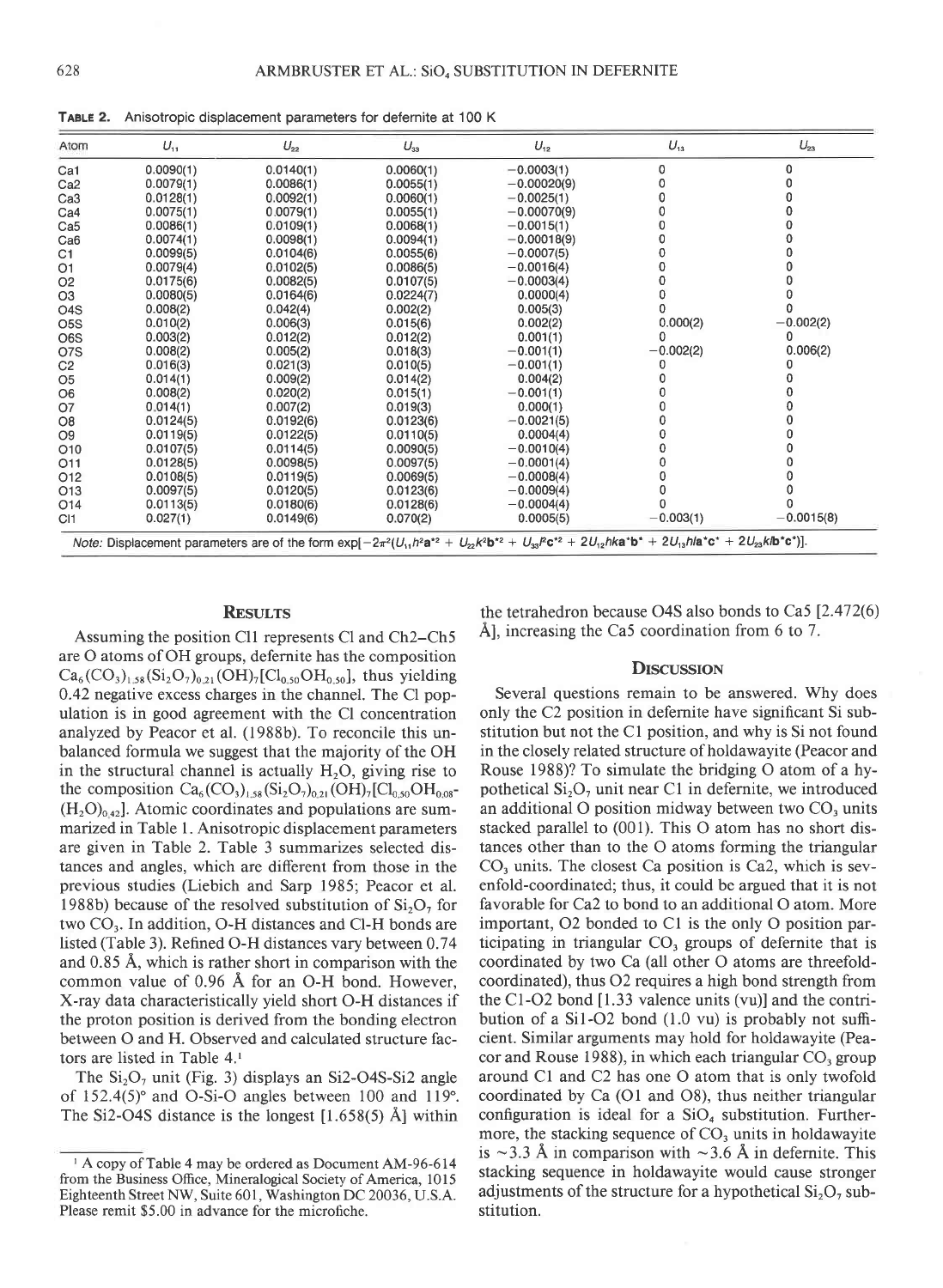TABLE 2. Anisotropic displacement parameters for defernite at 100 K

| Atom             | $U_{11}$  | $U_{22}$  | $U_{33}$  | $U_{12}$                                                                                                                                                                   | $U_{13}$    | $U_{23}$     |
|------------------|-----------|-----------|-----------|----------------------------------------------------------------------------------------------------------------------------------------------------------------------------|-------------|--------------|
| Ca1              | 0.0090(1) | 0.0140(1) | 0.0060(1) | $-0.0003(1)$                                                                                                                                                               | 0           | <sub>0</sub> |
| Ca <sub>2</sub>  | 0.0079(1) | 0.0086(1) | 0.0055(1) | $-0.00020(9)$                                                                                                                                                              | 0           |              |
| Ca <sub>3</sub>  | 0.0128(1) | 0.0092(1) | 0.0060(1) | $-0.0025(1)$                                                                                                                                                               | n           |              |
| Ca4              | 0.0075(1) | 0.0079(1) | 0.0055(1) | $-0.00070(9)$                                                                                                                                                              |             |              |
| Ca <sub>5</sub>  | 0.0086(1) | 0.0109(1) | 0.0068(1) | $-0.0015(1)$                                                                                                                                                               |             |              |
| Ca <sub>6</sub>  | 0.0074(1) | 0.0098(1) | 0.0094(1) | $-0.00018(9)$                                                                                                                                                              |             |              |
| C1               | 0.0099(5) | 0.0104(6) | 0.0055(6) | $-0.0007(5)$                                                                                                                                                               |             |              |
| O <sub>1</sub>   | 0.0079(4) | 0.0102(5) | 0.0086(5) | $-0.0016(4)$                                                                                                                                                               | Ω           |              |
| O <sub>2</sub>   | 0.0175(6) | 0.0082(5) | 0.0107(5) | $-0.0003(4)$                                                                                                                                                               |             |              |
| O <sub>3</sub>   | 0.0080(5) | 0.0164(6) | 0.0224(7) | 0.0000(4)                                                                                                                                                                  | n           |              |
| O <sub>4</sub> S | 0.008(2)  | 0.042(4)  | 0.002(2)  | 0.005(3)                                                                                                                                                                   |             |              |
| O <sub>5</sub> S | 0.010(2)  | 0.006(3)  | 0.015(6)  | 0.002(2)                                                                                                                                                                   | 0.000(2)    | $-0.002(2)$  |
| O <sub>6</sub> S | 0.003(2)  | 0.012(2)  | 0.012(2)  | 0.001(1)                                                                                                                                                                   | o           |              |
| O7S              | 0.008(2)  | 0.005(2)  | 0.018(3)  | $-0.001(1)$                                                                                                                                                                | $-0.002(2)$ | 0.006(2)     |
| C <sub>2</sub>   | 0.016(3)  | 0.021(3)  | 0.010(5)  | $-0.001(1)$                                                                                                                                                                | 0           |              |
| O <sub>5</sub>   | 0.014(1)  | 0.009(2)  | 0.014(2)  | 0.004(2)                                                                                                                                                                   |             |              |
| O <sub>6</sub>   | 0.008(2)  | 0.020(2)  | 0.015(1)  | $-0.001(1)$                                                                                                                                                                |             |              |
| <b>O7</b>        | 0.014(1)  | 0.007(2)  | 0.019(3)  | 0.000(1)                                                                                                                                                                   |             |              |
| O8               | 0.0124(5) | 0.0192(6) | 0.0123(6) | $-0.0021(5)$                                                                                                                                                               |             |              |
| O <sub>9</sub>   | 0.0119(5) | 0.0122(5) | 0.0110(5) | 0.0004(4)                                                                                                                                                                  |             |              |
| O10              | 0.0107(5) | 0.0114(5) | 0.0090(5) | $-0.0010(4)$                                                                                                                                                               |             |              |
| O <sub>11</sub>  | 0.0128(5) | 0.0098(5) | 0.0097(5) | $-0.0001(4)$                                                                                                                                                               |             |              |
| O <sub>12</sub>  | 0.0108(5) | 0.0119(5) | 0.0069(5) | $-0.0008(4)$                                                                                                                                                               |             |              |
| O <sub>13</sub>  | 0.0097(5) | 0.0120(5) | 0.0123(6) | $-0.0009(4)$                                                                                                                                                               |             |              |
| O14              | 0.0113(5) | 0.0180(6) | 0.0128(6) | $-0.0004(4)$                                                                                                                                                               |             |              |
| C <sub>1</sub>   | 0.027(1)  | 0.0149(6) | 0.070(2)  | 0.0005(5)                                                                                                                                                                  | $-0.003(1)$ | $-0.0015(8)$ |
|                  |           |           |           | Note: Displacement parameters are of the form $\exp[-2\pi^2(U_{11}h^2a^{*2} + U_{22}k^2b^{*2} + U_{33}Pc^{*2} + 2U_{12}hk a^*b^* + 2U_{13}hla^*c^* + 2U_{23}k^*b^*c^*)]$ . |             |              |

## **RESULTS**

Assuming the position C11 represents Cl and Ch2–Ch5 are O atoms of OH groups, defernite has the composition  $Ca_6(CO_3)_{1.58}(Si_2O_7)_{0.21}(OH)_7[Cl_{0.50}OH_{0.50}]$ , thus yielding 0.42 negative excess charges in the channel. The Cl population is in good agreement with the Cl concentration analyzed by Peacor et al. (1988b). To reconcile this unbalanced formula we suggest that the majority of the OH in the structural channel is actually  $H_2O$ , giving rise to the composition  $Ca_6(CO_3)_{1.58}(Si_2O_7)_{0.21}(OH)_7[Cl_{0.50}OH_{0.08}$  $(H<sub>2</sub>O)<sub>0.42</sub>$ ]. Atomic coordinates and populations are summarized in Table 1. Anisotropic displacement parameters are given in Table 2. Table 3 summarizes selected distances and angles, which are different from those in the previous studies (Liebich and Sarp 1985; Peacor et al. 1988b) because of the resolved substitution of  $Si<sub>2</sub>O<sub>7</sub>$  for two  $CO<sub>3</sub>$ . In addition, O-H distances and Cl-H bonds are listed (Table 3). Refined O-H distances vary between 0.74 and 0.85 Å, which is rather short in comparison with the common value of 0.96 Å for an O-H bond. However, X-ray data characteristically yield short O-H distances if the proton position is derived from the bonding electron between O and H. Observed and calculated structure factors are listed in Table 4.1

The  $Si<sub>2</sub>O<sub>7</sub>$  unit (Fig. 3) displays an Si2-O4S-Si2 angle of  $152.4(5)$ ° and O-Si-O angles between 100 and 119°. The Si2-O4S distance is the longest  $[1.658(5)$  Å] within

the tetrahedron because O4S also bonds to Ca5 [2.472(6) Å, increasing the Ca5 coordination from  $6$  to 7.

#### **DISCUSSION**

Several questions remain to be answered. Why does only the C<sub>2</sub> position in defermite have significant S<sub>1</sub> substitution but not the C1 position, and why is Si not found in the closely related structure of holdawayite (Peacor and Rouse 1988)? To simulate the bridging O atom of a hypothetical  $Si<sub>2</sub>O<sub>7</sub>$  unit near C1 in defermite, we introduced an additional O position midway between two  $CO<sub>3</sub>$  units stacked parallel to (001). This O atom has no short distances other than to the O atoms forming the triangular  $CO<sub>3</sub>$  units. The closest Ca position is Ca2, which is sevenfold-coordinated; thus, it could be argued that it is not favorable for Ca2 to bond to an additional O atom. More important, O2 bonded to C1 is the only O position participating in triangular CO<sub>3</sub> groups of defernite that is coordinated by two Ca (all other O atoms are threefoldcoordinated), thus O2 requires a high bond strength from the C1-O2 bond  $[1.33$  valence units (vu)] and the contribution of a Si1-O2 bond (1.0 vu) is probably not sufficient. Similar arguments may hold for holdawayite (Peacor and Rouse 1988), in which each triangular CO<sub>3</sub> group around C1 and C2 has one O atom that is only twofold coordinated by Ca (O1 and O8), thus neither triangular configuration is ideal for a  $SiO<sub>4</sub>$  substitution. Furthermore, the stacking sequence of  $CO<sub>3</sub>$  units in holdawayite is  $\sim$ 3.3 Å in comparison with  $\sim$ 3.6 Å in defernite. This stacking sequence in holdawayite would cause stronger adjustments of the structure for a hypothetical  $Si<sub>2</sub>O<sub>7</sub>$  substitution.

<sup>&</sup>lt;sup>1</sup> A copy of Table 4 may be ordered as Document AM-96-614 from the Business Office, Mineralogical Society of America, 1015 Eighteenth Street NW, Suite 601, Washington DC 20036, U.S.A. Please remit \$5.00 in advance for the microfiche.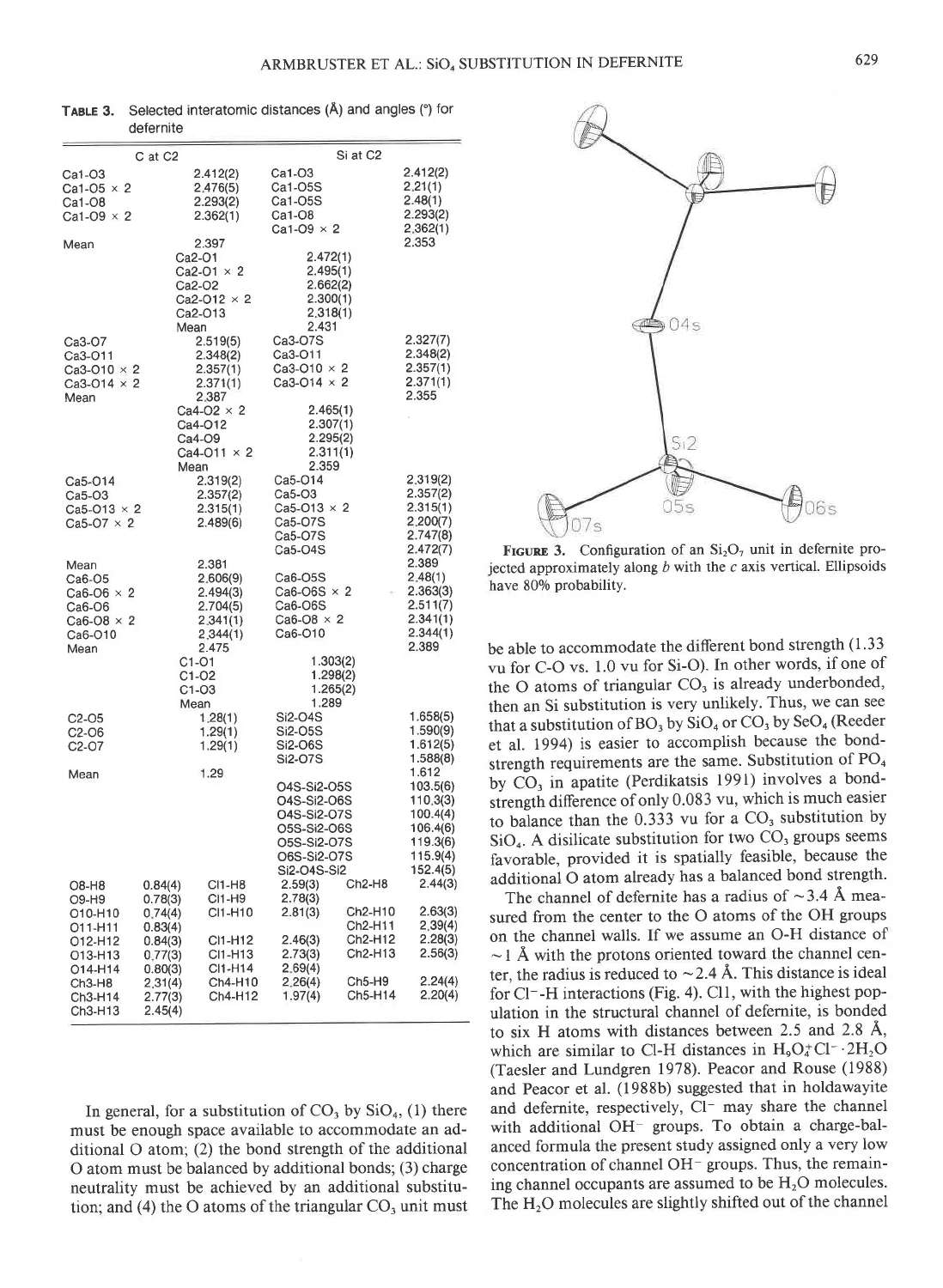| C at C2            | Si at C2                                                                                                                                                                                                                                                                                                                                                                                                                                                                                                                                                                      |                                                                                                                                                                                                                                                                                                                                                                                                                                                                                                                                                                             |
|--------------------|-------------------------------------------------------------------------------------------------------------------------------------------------------------------------------------------------------------------------------------------------------------------------------------------------------------------------------------------------------------------------------------------------------------------------------------------------------------------------------------------------------------------------------------------------------------------------------|-----------------------------------------------------------------------------------------------------------------------------------------------------------------------------------------------------------------------------------------------------------------------------------------------------------------------------------------------------------------------------------------------------------------------------------------------------------------------------------------------------------------------------------------------------------------------------|
|                    |                                                                                                                                                                                                                                                                                                                                                                                                                                                                                                                                                                               | 2.412(2)                                                                                                                                                                                                                                                                                                                                                                                                                                                                                                                                                                    |
|                    |                                                                                                                                                                                                                                                                                                                                                                                                                                                                                                                                                                               | 2,21(1)                                                                                                                                                                                                                                                                                                                                                                                                                                                                                                                                                                     |
|                    | Ca1-05S                                                                                                                                                                                                                                                                                                                                                                                                                                                                                                                                                                       | 2.48(1)                                                                                                                                                                                                                                                                                                                                                                                                                                                                                                                                                                     |
|                    |                                                                                                                                                                                                                                                                                                                                                                                                                                                                                                                                                                               | 2.293(2)                                                                                                                                                                                                                                                                                                                                                                                                                                                                                                                                                                    |
|                    |                                                                                                                                                                                                                                                                                                                                                                                                                                                                                                                                                                               | 2,362(1)                                                                                                                                                                                                                                                                                                                                                                                                                                                                                                                                                                    |
|                    |                                                                                                                                                                                                                                                                                                                                                                                                                                                                                                                                                                               | 2.353                                                                                                                                                                                                                                                                                                                                                                                                                                                                                                                                                                       |
| Ca2-O1             | 2.472(1)                                                                                                                                                                                                                                                                                                                                                                                                                                                                                                                                                                      |                                                                                                                                                                                                                                                                                                                                                                                                                                                                                                                                                                             |
| $Ca2-O1 \times 2$  | 2.495(1)                                                                                                                                                                                                                                                                                                                                                                                                                                                                                                                                                                      |                                                                                                                                                                                                                                                                                                                                                                                                                                                                                                                                                                             |
| Ca2-O2             | 2.662(2)                                                                                                                                                                                                                                                                                                                                                                                                                                                                                                                                                                      |                                                                                                                                                                                                                                                                                                                                                                                                                                                                                                                                                                             |
| Ca2-O12 $\times$ 2 | 2.300(1)                                                                                                                                                                                                                                                                                                                                                                                                                                                                                                                                                                      |                                                                                                                                                                                                                                                                                                                                                                                                                                                                                                                                                                             |
| Ca2-O13            | 2.318(1)                                                                                                                                                                                                                                                                                                                                                                                                                                                                                                                                                                      |                                                                                                                                                                                                                                                                                                                                                                                                                                                                                                                                                                             |
|                    |                                                                                                                                                                                                                                                                                                                                                                                                                                                                                                                                                                               |                                                                                                                                                                                                                                                                                                                                                                                                                                                                                                                                                                             |
|                    |                                                                                                                                                                                                                                                                                                                                                                                                                                                                                                                                                                               | 2.327(7)                                                                                                                                                                                                                                                                                                                                                                                                                                                                                                                                                                    |
|                    |                                                                                                                                                                                                                                                                                                                                                                                                                                                                                                                                                                               | 2.348(2)                                                                                                                                                                                                                                                                                                                                                                                                                                                                                                                                                                    |
|                    |                                                                                                                                                                                                                                                                                                                                                                                                                                                                                                                                                                               | 2.357(1)                                                                                                                                                                                                                                                                                                                                                                                                                                                                                                                                                                    |
|                    |                                                                                                                                                                                                                                                                                                                                                                                                                                                                                                                                                                               | 2.371(1)                                                                                                                                                                                                                                                                                                                                                                                                                                                                                                                                                                    |
|                    |                                                                                                                                                                                                                                                                                                                                                                                                                                                                                                                                                                               | 2.355                                                                                                                                                                                                                                                                                                                                                                                                                                                                                                                                                                       |
|                    |                                                                                                                                                                                                                                                                                                                                                                                                                                                                                                                                                                               |                                                                                                                                                                                                                                                                                                                                                                                                                                                                                                                                                                             |
|                    |                                                                                                                                                                                                                                                                                                                                                                                                                                                                                                                                                                               |                                                                                                                                                                                                                                                                                                                                                                                                                                                                                                                                                                             |
|                    |                                                                                                                                                                                                                                                                                                                                                                                                                                                                                                                                                                               |                                                                                                                                                                                                                                                                                                                                                                                                                                                                                                                                                                             |
|                    |                                                                                                                                                                                                                                                                                                                                                                                                                                                                                                                                                                               |                                                                                                                                                                                                                                                                                                                                                                                                                                                                                                                                                                             |
|                    |                                                                                                                                                                                                                                                                                                                                                                                                                                                                                                                                                                               | 2.319(2)                                                                                                                                                                                                                                                                                                                                                                                                                                                                                                                                                                    |
|                    |                                                                                                                                                                                                                                                                                                                                                                                                                                                                                                                                                                               | 2.357(2)                                                                                                                                                                                                                                                                                                                                                                                                                                                                                                                                                                    |
|                    |                                                                                                                                                                                                                                                                                                                                                                                                                                                                                                                                                                               | 2.315(1)                                                                                                                                                                                                                                                                                                                                                                                                                                                                                                                                                                    |
|                    |                                                                                                                                                                                                                                                                                                                                                                                                                                                                                                                                                                               | 2.200(7)                                                                                                                                                                                                                                                                                                                                                                                                                                                                                                                                                                    |
|                    |                                                                                                                                                                                                                                                                                                                                                                                                                                                                                                                                                                               | 2.747(8)                                                                                                                                                                                                                                                                                                                                                                                                                                                                                                                                                                    |
|                    | Ca5-O4S                                                                                                                                                                                                                                                                                                                                                                                                                                                                                                                                                                       | 2.472(7)                                                                                                                                                                                                                                                                                                                                                                                                                                                                                                                                                                    |
| 2.381              |                                                                                                                                                                                                                                                                                                                                                                                                                                                                                                                                                                               | 2.389                                                                                                                                                                                                                                                                                                                                                                                                                                                                                                                                                                       |
|                    | Ca6-O5S                                                                                                                                                                                                                                                                                                                                                                                                                                                                                                                                                                       | 2.48(1)                                                                                                                                                                                                                                                                                                                                                                                                                                                                                                                                                                     |
| 2.494(3)           | Ca6-O6S $\times$ 2                                                                                                                                                                                                                                                                                                                                                                                                                                                                                                                                                            | 2.363(3)                                                                                                                                                                                                                                                                                                                                                                                                                                                                                                                                                                    |
| 2.704(5)           | Ca6-O6S                                                                                                                                                                                                                                                                                                                                                                                                                                                                                                                                                                       | 2.511(7)                                                                                                                                                                                                                                                                                                                                                                                                                                                                                                                                                                    |
| 2.341(1)           | $Ca6-O8 \times 2$                                                                                                                                                                                                                                                                                                                                                                                                                                                                                                                                                             | 2.341(1)                                                                                                                                                                                                                                                                                                                                                                                                                                                                                                                                                                    |
| 2,344(1)           |                                                                                                                                                                                                                                                                                                                                                                                                                                                                                                                                                                               | 2.344(1)                                                                                                                                                                                                                                                                                                                                                                                                                                                                                                                                                                    |
|                    |                                                                                                                                                                                                                                                                                                                                                                                                                                                                                                                                                                               | 2.389                                                                                                                                                                                                                                                                                                                                                                                                                                                                                                                                                                       |
|                    |                                                                                                                                                                                                                                                                                                                                                                                                                                                                                                                                                                               |                                                                                                                                                                                                                                                                                                                                                                                                                                                                                                                                                                             |
|                    |                                                                                                                                                                                                                                                                                                                                                                                                                                                                                                                                                                               |                                                                                                                                                                                                                                                                                                                                                                                                                                                                                                                                                                             |
|                    |                                                                                                                                                                                                                                                                                                                                                                                                                                                                                                                                                                               |                                                                                                                                                                                                                                                                                                                                                                                                                                                                                                                                                                             |
|                    |                                                                                                                                                                                                                                                                                                                                                                                                                                                                                                                                                                               | 1.658(5)                                                                                                                                                                                                                                                                                                                                                                                                                                                                                                                                                                    |
|                    |                                                                                                                                                                                                                                                                                                                                                                                                                                                                                                                                                                               | 1.590(9)                                                                                                                                                                                                                                                                                                                                                                                                                                                                                                                                                                    |
|                    |                                                                                                                                                                                                                                                                                                                                                                                                                                                                                                                                                                               | 1.612(5)                                                                                                                                                                                                                                                                                                                                                                                                                                                                                                                                                                    |
|                    |                                                                                                                                                                                                                                                                                                                                                                                                                                                                                                                                                                               | 1.588(8)                                                                                                                                                                                                                                                                                                                                                                                                                                                                                                                                                                    |
|                    |                                                                                                                                                                                                                                                                                                                                                                                                                                                                                                                                                                               | 1.612                                                                                                                                                                                                                                                                                                                                                                                                                                                                                                                                                                       |
|                    | 04S-Si2-05S                                                                                                                                                                                                                                                                                                                                                                                                                                                                                                                                                                   | 103.5(6)                                                                                                                                                                                                                                                                                                                                                                                                                                                                                                                                                                    |
|                    | O4S-Si2-O6S                                                                                                                                                                                                                                                                                                                                                                                                                                                                                                                                                                   | 110,3(3)                                                                                                                                                                                                                                                                                                                                                                                                                                                                                                                                                                    |
|                    | 04S-Si2-07S                                                                                                                                                                                                                                                                                                                                                                                                                                                                                                                                                                   | 100.4(4)                                                                                                                                                                                                                                                                                                                                                                                                                                                                                                                                                                    |
|                    | O5S-Si2-O6S                                                                                                                                                                                                                                                                                                                                                                                                                                                                                                                                                                   | 106.4(6)                                                                                                                                                                                                                                                                                                                                                                                                                                                                                                                                                                    |
|                    | O5S-Si2-O7S                                                                                                                                                                                                                                                                                                                                                                                                                                                                                                                                                                   | 119.3(6)                                                                                                                                                                                                                                                                                                                                                                                                                                                                                                                                                                    |
|                    |                                                                                                                                                                                                                                                                                                                                                                                                                                                                                                                                                                               | 115.9(4)                                                                                                                                                                                                                                                                                                                                                                                                                                                                                                                                                                    |
|                    |                                                                                                                                                                                                                                                                                                                                                                                                                                                                                                                                                                               | 152.4(5)                                                                                                                                                                                                                                                                                                                                                                                                                                                                                                                                                                    |
| 0.84(4)            |                                                                                                                                                                                                                                                                                                                                                                                                                                                                                                                                                                               | 2.44(3)                                                                                                                                                                                                                                                                                                                                                                                                                                                                                                                                                                     |
|                    |                                                                                                                                                                                                                                                                                                                                                                                                                                                                                                                                                                               |                                                                                                                                                                                                                                                                                                                                                                                                                                                                                                                                                                             |
|                    |                                                                                                                                                                                                                                                                                                                                                                                                                                                                                                                                                                               | 2.63(3)                                                                                                                                                                                                                                                                                                                                                                                                                                                                                                                                                                     |
|                    |                                                                                                                                                                                                                                                                                                                                                                                                                                                                                                                                                                               | 2,39(4)<br>2.28(3)                                                                                                                                                                                                                                                                                                                                                                                                                                                                                                                                                          |
|                    |                                                                                                                                                                                                                                                                                                                                                                                                                                                                                                                                                                               | 2.56(3)                                                                                                                                                                                                                                                                                                                                                                                                                                                                                                                                                                     |
|                    |                                                                                                                                                                                                                                                                                                                                                                                                                                                                                                                                                                               |                                                                                                                                                                                                                                                                                                                                                                                                                                                                                                                                                                             |
|                    |                                                                                                                                                                                                                                                                                                                                                                                                                                                                                                                                                                               | 2.24(4)                                                                                                                                                                                                                                                                                                                                                                                                                                                                                                                                                                     |
|                    | Ch5-H14                                                                                                                                                                                                                                                                                                                                                                                                                                                                                                                                                                       | 2.20(4)                                                                                                                                                                                                                                                                                                                                                                                                                                                                                                                                                                     |
| 2.45(4)            |                                                                                                                                                                                                                                                                                                                                                                                                                                                                                                                                                                               |                                                                                                                                                                                                                                                                                                                                                                                                                                                                                                                                                                             |
|                    | 2.412(2)<br>2,476(5)<br>2.293(2)<br>2.362(1)<br>2.397<br>Mean<br>2.519(5)<br>2.348(2)<br>2.357(1)<br>$Ca3-O10 \times 2$<br>Ca3-O14 $\times$ 2<br>2.371(1)<br>2.387<br>$Ca4-O2 \times 2$<br>Ca4-012<br>Ca4-O9<br>$Ca4-O11 \times 2$<br>Mean<br>2.319(2)<br>2.357(2)<br>2.315(1)<br>$Ca5-O13 \times 2$<br>2.489(6)<br>2,606(9)<br>2.475<br>C1-O1<br>$C1-O2$<br>$C1-O3$<br>Mean<br>1.28(1)<br>1.29(1)<br>1.29(1)<br>1.29<br>CI1-H8<br>CI1-H9<br>0.78(3)<br>CI1-H10<br>0.74(4)<br>0.83(4)<br>CI1-H12<br>0.84(3)<br>CI1-H13<br>0.77(3)<br>CI1-H14<br>0.80(3)<br>2,31(4)<br>2.77(3) | $Ca1-O3$<br>Ca1-O5S<br>$Ca1-O8$<br>Ca1-O9 $\times$ 2<br>2.431<br>Ca3-O7S<br>Ca3-O11<br>$Ca3-O10 \times 2$<br>Ca3-O14 $\times$ 2<br>2.465(1)<br>2.307(1)<br>2.295(2)<br>2.311(1)<br>2.359<br>Ca5-O14<br>Ca5-O3<br>$Ca5-O13 \times 2$<br>Ca5-07S<br>Ca5-07S<br>Ca6-O10<br>1.303(2)<br>1.298(2)<br>1.265(2)<br>1.289<br>Si2-O4S<br>Si2-O5S<br>Si2-O6S<br>Si2-O7S<br>O6S-Si2-O7S<br>Si2-O4S-Si2<br>Ch2-H8<br>2.59(3)<br>2.78(3)<br>Ch2-H10<br>2.81(3)<br>Ch2-H11<br>Ch2-H12<br>2.46(3)<br>2.73(3)<br>Ch2-H13<br>2.69(4)<br>$Ch5-H9$<br>2.26(4)<br>Ch4-H10<br>Ch4-H12<br>1.97(4) |

TABLE 3. Selected interatomic distances (Å) and angles (°) for defernite

In general, for a substitution of  $CO<sub>3</sub>$  by  $SiO<sub>4</sub>$ , (1) there must be enough space available to accommodate an additional O atom; (2) the bond strength of the additional O atom must be balanced by additional bonds; (3) charge neutrality must be achieved by an additional substitution; and (4) the O atoms of the triangular  $CO<sub>3</sub>$  unit must



**FIGURE 3.** Configuration of an  $Si_2O_7$  unit in defermite projected approximately along  $b$  with the  $c$  axis vertical. Ellipsoids have 80% probability.

be able to accommodate the different bond strength (1.33 vu for C-O vs. 1.0 vu for Si-O). In other words, if one of the O atoms of triangular CO<sub>3</sub> is already underbonded, then an Si substitution is very unlikely. Thus, we can see that a substitution of BO<sub>3</sub> by SiO<sub>4</sub> or CO<sub>3</sub> by SeO<sub>4</sub> (Reeder et al. 1994) is easier to accomplish because the bondstrength requirements are the same. Substitution of PO<sub>4</sub> by CO<sub>3</sub> in apatite (Perdikatsis 1991) involves a bondstrength difference of only 0.083 vu, which is much easier to balance than the  $0.333$  vu for a  $CO<sub>3</sub>$  substitution by SiO<sub>4</sub>. A disilicate substitution for two CO<sub>3</sub> groups seems favorable, provided it is spatially feasible, because the additional O atom already has a balanced bond strength.

The channel of defernite has a radius of  $\sim$ 3.4 Å measured from the center to the O atoms of the OH groups on the channel walls. If we assume an O-H distance of  $\sim$  1 Å with the protons oriented toward the channel center, the radius is reduced to  $\sim$  2.4 Å. This distance is ideal for Cl<sup>-</sup>-H interactions (Fig. 4). Cl1, with the highest population in the structural channel of defernite, is bonded to six H atoms with distances between 2.5 and 2.8 Å, which are similar to Cl-H distances in  $H_9O_4^+Cl^- \tcdot 2H_2O$ (Taesler and Lundgren 1978). Peacor and Rouse (1988) and Peacor et al. (1988b) suggested that in holdawayite and defernite, respectively, Cl- may share the channel with additional OH<sup>-</sup> groups. To obtain a charge-balanced formula the present study assigned only a very low concentration of channel OH<sup>-</sup> groups. Thus, the remaining channel occupants are assumed to be  $H_2O$  molecules. The H<sub>2</sub>O molecules are slightly shifted out of the channel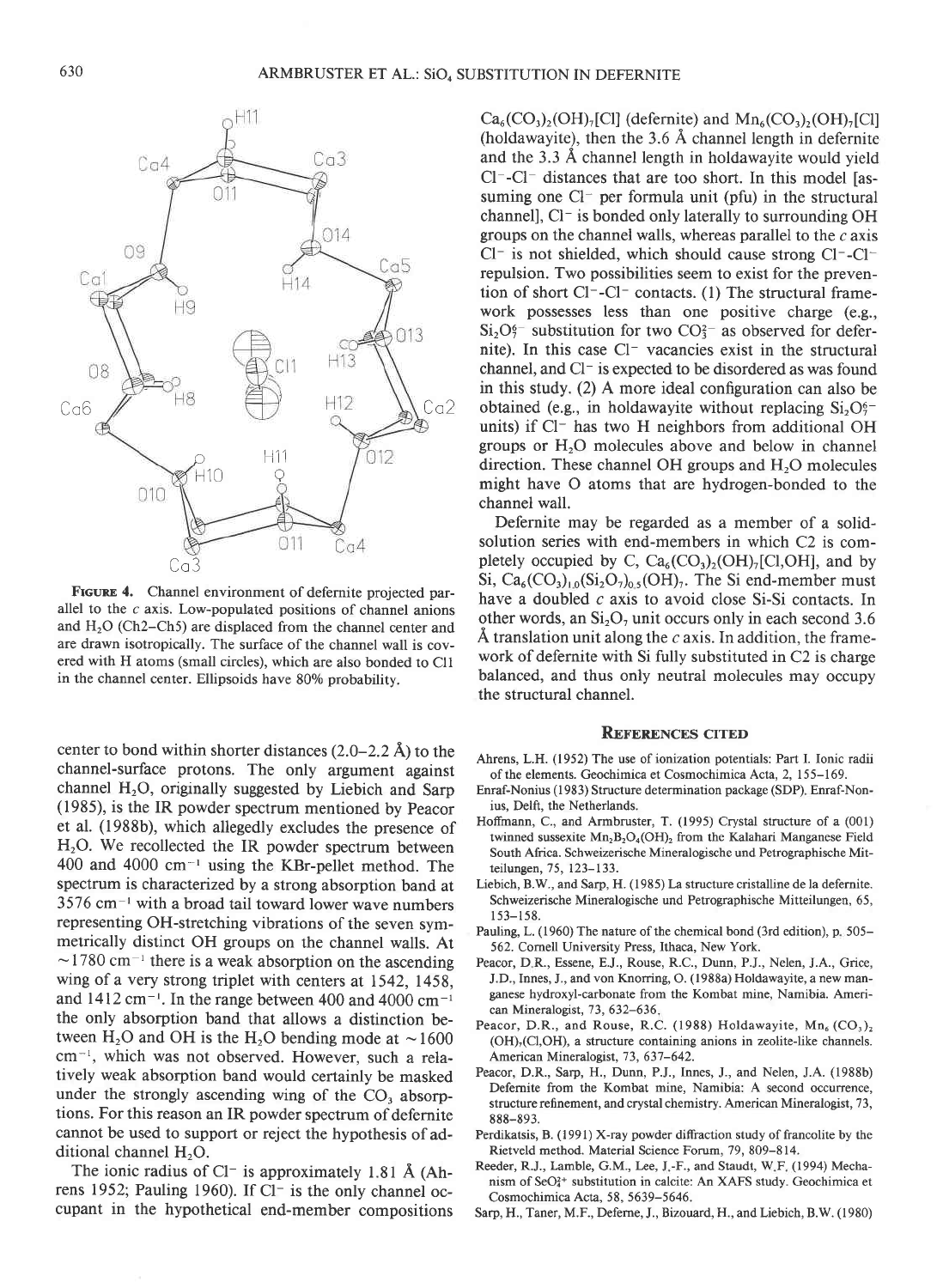

FIGURE 4. Channel environment of defernite projected parallel to the  $c$  axis. Low-populated positions of channel anions and  $H<sub>2</sub>O$  (Ch2–Ch5) are displaced from the channel center and are drawn isotropically. The surface of the channel wall is covered with H atoms (small circles), which are also bonded to Cll in the channel center. Ellipsoids have 80% probability.

center to bond within shorter distances  $(2.0-2.2 \text{ Å})$  to the channel-surface protons. The only argument against channel  $H_2O$ , originally suggested by Liebich and Sarp (1985), is the IR powder spectrum mentioned by Peacor et al. (1988b), which allegedly excludes the presence of  $H_2O$ . We recollected the IR powder spectrum between 400 and 4000 cm-' using the KBr-pellet method. The spectrum is characterized by a strong absorption band at  $3576$  cm<sup> $-1$ </sup> with a broad tail toward lower wave numbers representing OH-stretching vibrations of the seven symmetrically distinct OH groups on the channel walls. At  $\sim$  1780 cm<sup>-1</sup> there is a weak absorption on the ascending wing of a very strong triplet with centers at 1542, 1458, and  $1412 \text{ cm}^{-1}$ . In the range between 400 and 4000 cm<sup>-1</sup> the only absorption band that allows a distinction between H<sub>2</sub>O and OH is the H<sub>2</sub>O bending mode at  $\sim$  1600 cm<sup>-1</sup>, which was not observed. However, such a relatively weak absorption band would certainly be masked under the strongly ascending wing of the CO, absorptions. For this reason an IR powder spectrum of defernite cannot be used to support or reject the hypothesis of additional channel  $H<sub>2</sub>O$ .

The ionic radius of Cl<sup>-</sup> is approximately 1.81 Å (Ahrens 1952; Pauling 1960). If Cl- is the only channel occupant in the hypothetical end-member compositions

 $Ca<sub>6</sub>(CO<sub>3</sub>), (OH)<sub>7</sub>[Cl]$  (defernite) and  $Mn<sub>6</sub>(CO<sub>3</sub>), (OH)<sub>7</sub>[Cl]$ (holdawayite), then the 3.6 A channel length in defernite and the 3.3 A channel length in holdawayite would yield  $Cl^-$ - $Cl^-$  distances that are too short. In this model [assuming one  $Cl^-$  per formula unit (pfu) in the structural channell, Cl- is bonded only laterally to surrounding OH groups on the channel walls, whereas parallel to the  $c$  axis  $Cl^-$  is not shielded, which should cause strong  $Cl^-$ - $Cl^$ repulsion. Two possibilities seem to exist for the prevention of short Cl--Cl- contacts. (l) The structural framework possesses less than one positive charge (e.g.,  $Si<sub>2</sub>O<sub>7</sub><sup>6</sup>$  substitution for two  $CO<sub>3</sub><sup>-</sup>$  as observed for defernite). In this case Cl<sup>-</sup> vacancies exist in the structural channel, and  $Cl^-$  is expected to be disordered as was found in this study. (2) A more ideal configuration can also be obtained (e.g., in holdawayite without replacing  $Si<sub>2</sub>O<sub>2</sub>$ units) if Cl<sup>-</sup> has two H neighbors from additional OH groups or  $H_2O$  molecules above and below in channel direction. These channel OH groups and  $H<sub>2</sub>O$  molecules might have O atoms that are hydrogen-bonded to the channel wall.

Defernite may be regarded as a member of a solidsolution series with end-members in which C2 is completely occupied by C,  $Ca_6(CO_3)_2(OH)_7[CI,OH]$ , and by Si,  $Ca_6(CO_3)_{1,0}(Si_2O_7)_{0,5}(OH)_{7}$ . The Si end-member must have a doubled  $c$  axis to avoid close Si-Si contacts. In other words, an  $Si<sub>2</sub>O<sub>7</sub>$  unit occurs only in each second 3.6  $\AA$  translation unit along the c axis. In addition, the framework of defernite with Si fully substituted in C2 is charge balanced, and thus only neutral molecules may occupy the structural channel.

#### **REFERENCES CITED**

- Ahrens, L.H. (1952) The use of ionization potentials: Part I. Ionic radii of the elements. Geochimica et Cosmochimica Acta, 2, 155-169.
- Enraf-Nonius (l 983) Structure determination package (SDP) Enraf-Nonius, Delft, the Netherlands.
- Hoffmann, C., and Armbruster, T. (1995) Crystal structure of a (001) twinned sussexite  $Mn_2B_2O_4(OH)$ , from the Kalahari Manganese Field South Africa. Schweizerische Mineralogische und Petrographische Mir teilungen, 75, 123-133.
- Liebich, B.W., and Sarp, H. (1985) La structure cristalline de la defernite. Schweizerische Mineralogische und Petrographische Mitteilungen, 65,  $153 - 158.$
- Pauling, L. (1960) The nature of the chemical bond (3rd edition), p. 505– 562. Cornell University Press, Ithaca, New York.
- Peacor, D.R., Essene, E.J., Rouse, R.C., Dunn, P.J., Nelen, J.A., Grice, J.D., Innes, J., and von Knorring, O. (1988a) Holdawayite, a new manganese hydroxyl-carbonate from the Kombat mine, Namibia. American Mineralogist, 73, 632-636,
- Peacor, D.R., and Rouse, R.C. (1988) Holdawayite,  $Mn_6$  (CO<sub>3</sub>)<sub>2</sub>  $(OH)<sub>7</sub>(Cl,OH)$ , a structure containing anions in zeolite-like channels. American Mineralogist, 73, 637-642.
- Peacor, D.R., Sarp, H., Dunn, P.J., Innes, J., and Nelen, J.A. (1988b) Defernite from the Kombat mine, Namibia: A second occurrence, structure refinement, and crystal chemistry. American Mineralogist, 73, 888-893.
- Perdikatsis, B. (1991) X-ray powder diffraction study of francolite by the Rietveld method. Material Science Forum, 79, 809-814.
- Reeder, R.J., Lamble, G.M., Lee, J.-F., and Staudt, W.F. (1994) Mechanism of SeO<sup>2+</sup> substitution in calcite: An XAFS study. Geochimica et Cosmochimica Acta. 58. 5639-5646.
- Sarp, H., Taner, M.F., Deferne, J., Bizouard, H., and Liebich, B.W. (1980)